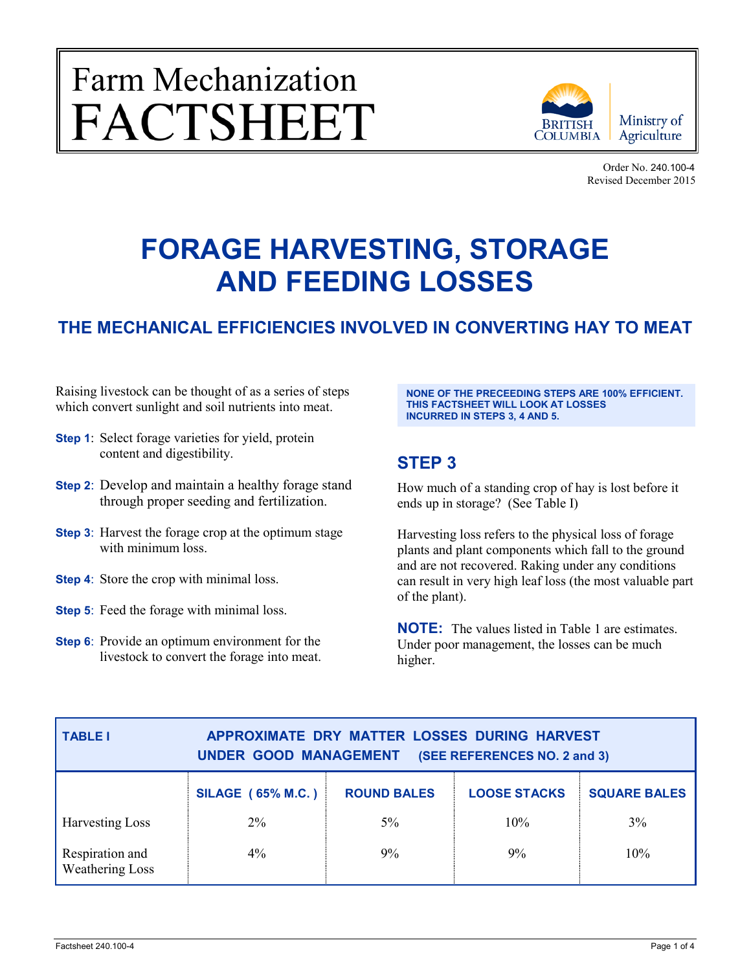# Farm Mechanization<br>FACTSHEET



Order No. 240.100-4 Revised December 2015

# **FORAGE HARVESTING, STORAGE AND FEEDING LOSSES**

# **THE MECHANICAL EFFICIENCIES INVOLVED IN CONVERTING HAY TO MEAT**

Raising livestock can be thought of as a series of steps which convert sunlight and soil nutrients into meat.

- **Step 1**: Select forage varieties for yield, protein content and digestibility.
- **Step 2**: Develop and maintain a healthy forage stand through proper seeding and fertilization.
- **Step 3**: Harvest the forage crop at the optimum stage with minimum loss.
- **Step 4**: Store the crop with minimal loss.
- **Step 5**: Feed the forage with minimal loss.
- **Step 6**: Provide an optimum environment for the livestock to convert the forage into meat.

**NONE OF THE PRECEEDING STEPS ARE 100% EFFICIENT. THIS FACTSHEET WILL LOOK AT LOSSES INCURRED IN STEPS 3, 4 AND 5.**

# **STEP 3**

How much of a standing crop of hay is lost before it ends up in storage? (See Table I)

Harvesting loss refers to the physical loss of forage plants and plant components which fall to the ground and are not recovered. Raking under any conditions can result in very high leaf loss (the most valuable part of the plant).

**NOTE:** The values listed in Table 1 are estimates. Under poor management, the losses can be much higher.

| <b>TABLE I</b>                            | APPROXIMATE DRY MATTER LOSSES DURING HARVEST<br>UNDER GOOD MANAGEMENT<br>(SEE REFERENCES NO. 2 and 3) |                    |                     |                     |  |
|-------------------------------------------|-------------------------------------------------------------------------------------------------------|--------------------|---------------------|---------------------|--|
|                                           | <b>SILAGE (65% M.C.)</b>                                                                              | <b>ROUND BALES</b> | <b>LOOSE STACKS</b> | <b>SQUARE BALES</b> |  |
| <b>Harvesting Loss</b>                    | $2\%$                                                                                                 | $5\%$              | 10%                 | 3%                  |  |
| Respiration and<br><b>Weathering Loss</b> | $4\%$                                                                                                 | $9\%$              | 9%                  | 10%                 |  |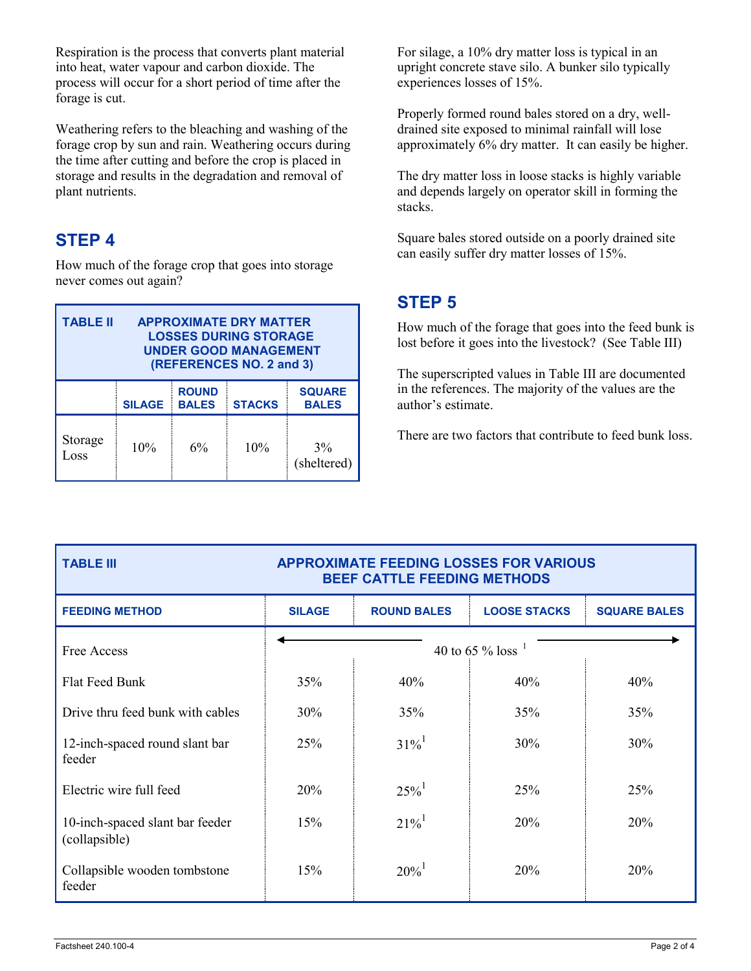Respiration is the process that converts plant material into heat, water vapour and carbon dioxide. The process will occur for a short period of time after the forage is cut.

Weathering refers to the bleaching and washing of the forage crop by sun and rain. Weathering occurs during the time after cutting and before the crop is placed in storage and results in the degradation and removal of plant nutrients.

# **STEP 4**

How much of the forage crop that goes into storage never comes out again?

| <b>TABLE II</b><br><b>APPROXIMATE DRY MATTER</b><br><b>LOSSES DURING STORAGE</b><br><b>UNDER GOOD MANAGEMENT</b><br>(REFERENCES NO. 2 and 3) |               |                              |               |                               |  |
|----------------------------------------------------------------------------------------------------------------------------------------------|---------------|------------------------------|---------------|-------------------------------|--|
|                                                                                                                                              | <b>SILAGE</b> | <b>ROUND</b><br><b>BALES</b> | <b>STACKS</b> | <b>SQUARE</b><br><b>BALES</b> |  |
| Storage<br>Loss                                                                                                                              | 10%           | 6%                           | 10%           | $3\%$<br>(sheltered)          |  |

For silage, a 10% dry matter loss is typical in an upright concrete stave silo. A bunker silo typically experiences losses of 15%.

Properly formed round bales stored on a dry, welldrained site exposed to minimal rainfall will lose approximately 6% dry matter. It can easily be higher.

The dry matter loss in loose stacks is highly variable and depends largely on operator skill in forming the stacks.

Square bales stored outside on a poorly drained site can easily suffer dry matter losses of 15%.

# **STEP 5**

How much of the forage that goes into the feed bunk is lost before it goes into the livestock? (See Table III)

The superscripted values in Table III are documented in the references. The majority of the values are the author's estimate.

There are two factors that contribute to feed bunk loss.

## **TABLE III APPROXIMATE FEEDING LOSSES FOR VARIOUS BEEF CATTLE FEEDING METHODS**

| <b>FEEDING METHOD</b>                            | <b>SILAGE</b>          | <b>ROUND BALES</b>  | <b>LOOSE STACKS</b> | <b>SQUARE BALES</b> |
|--------------------------------------------------|------------------------|---------------------|---------------------|---------------------|
| Free Access                                      | 40 to 65 % loss $^{1}$ |                     |                     |                     |
| <b>Flat Feed Bunk</b>                            | 35%                    | 40%                 | 40%                 | 40%                 |
| Drive thru feed bunk with cables                 | 30%                    | 35%                 | 35%                 | 35%                 |
| 12-inch-spaced round slant bar<br>feeder         | 25%                    | $31\%$ <sup>1</sup> | 30%                 | 30%                 |
| Electric wire full feed                          | 20%                    | $25\%$ <sup>1</sup> | 25%                 | 25%                 |
| 10-inch-spaced slant bar feeder<br>(collapsible) | 15%                    | $21\%$ <sup>1</sup> | 20%                 | 20%                 |
| Collapsible wooden tombstone<br>feeder           | 15%                    | $20\%$ <sup>1</sup> | 20%                 | 20%                 |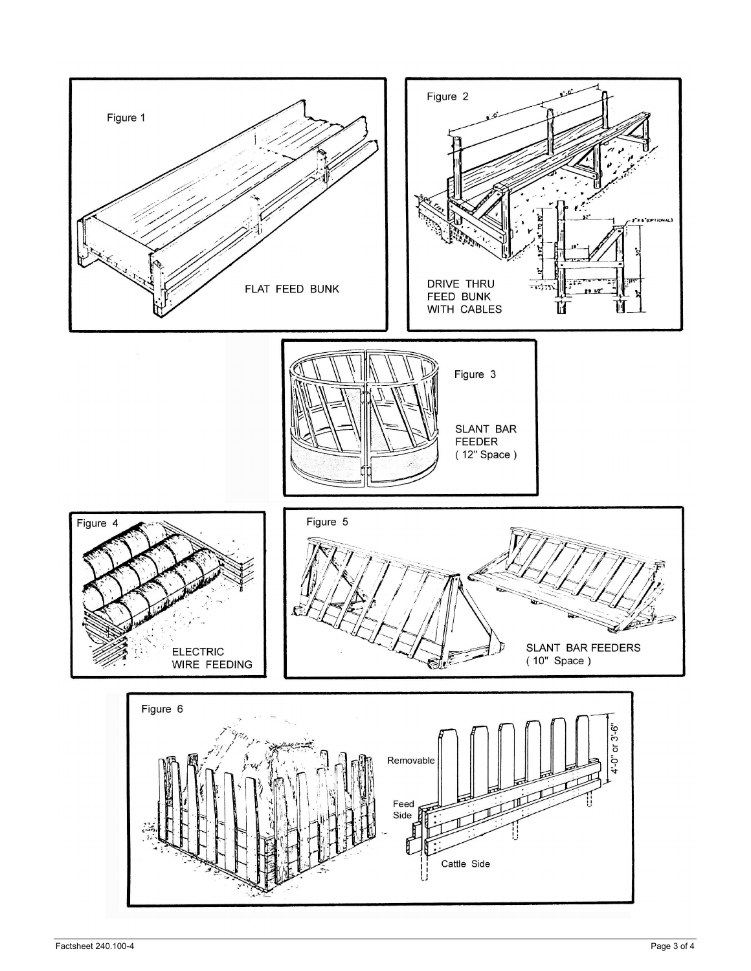